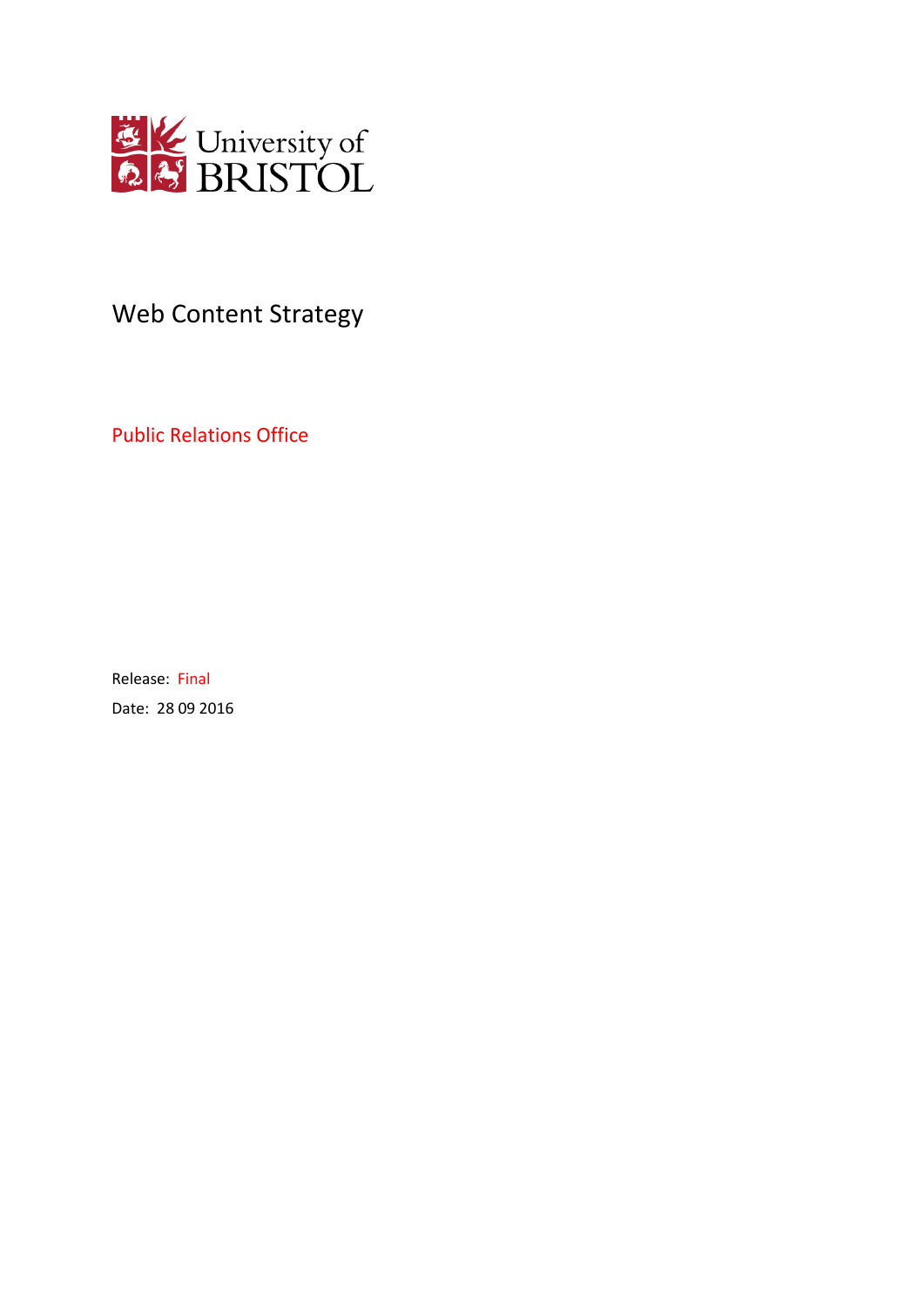

# Web Content Strategy

Public Relations Office

Release: Final Date: 28 09 2016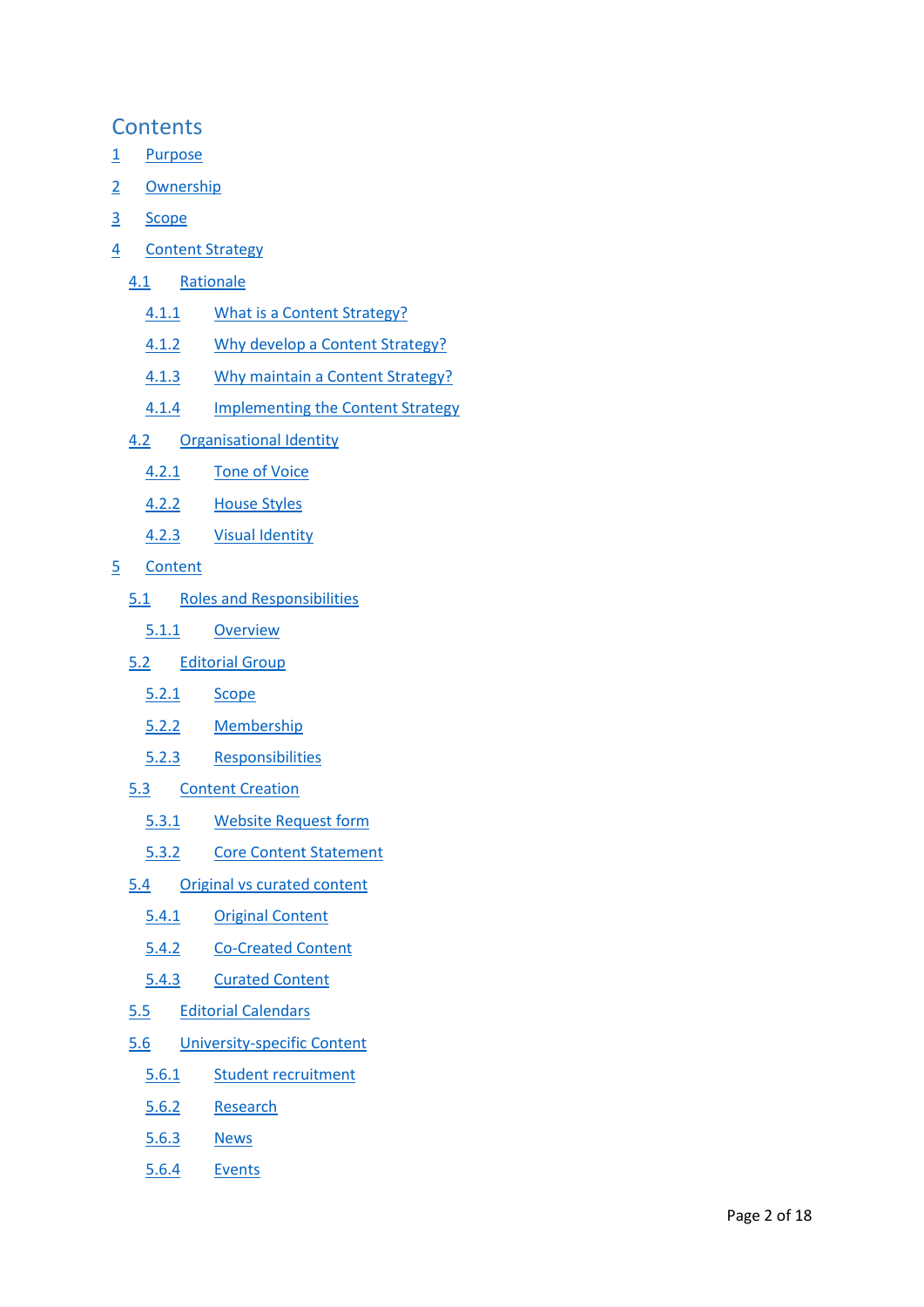# **Contents**

- [1](#page-3-0) [Purpose](#page-3-0)
- [2](#page-3-1) [Ownership](#page-3-1)
- [3](#page-3-2) [Scope](#page-3-2)
- [4](#page-3-3) [Content Strategy](#page-3-3)
	- [4.1](#page-3-4) [Rationale](#page-3-4)
		- [4.1.1](#page-3-5) [What is a Content Strategy?](#page-3-5)
		- [4.1.2](#page-3-6) [Why develop a Content Strategy?](#page-3-6)
		- [4.1.3](#page-4-0) [Why maintain a Content Strategy?](#page-4-0)
		- [4.1.4](#page-4-1) [Implementing the Content Strategy](#page-4-1)
	- [4.2](#page-4-2) [Organisational Identity](#page-4-2)
		- [4.2.1](#page-5-0) [Tone of Voice](#page-5-0)
		- [4.2.2](#page-5-1) [House Styles](#page-5-1)
		- [4.2.3](#page-5-2) [Visual Identity](#page-5-2)
- [5](#page-6-0) [Content](#page-6-0)
	- [5.1](#page-6-1) [Roles and Responsibilities](#page-6-1)
		- [5.1.1](#page-6-2) [Overview](#page-6-2)
	- [5.2](#page-7-0) [Editorial Group](#page-7-0)
		- [5.2.1](#page-7-1) [Scope](#page-7-1)
		- [5.2.2](#page-7-2) [Membership](#page-7-2)
		- [5.2.3](#page-8-0) [Responsibilities](#page-8-0)
	- [5.3](#page-9-0) [Content Creation](#page-9-0)
		- [5.3.1](#page-9-1) [Website Request form](#page-9-1)
		- [5.3.2](#page-9-2) [Core Content Statement](#page-9-2)
	- [5.4](#page-10-0) [Original vs curated content](#page-10-0)
		- [5.4.1](#page-10-1) [Original Content](#page-10-1)
		- [5.4.2](#page-11-0) [Co-Created Content](#page-11-0)
		- [5.4.3](#page-12-0) [Curated Content](#page-12-0)
	- [5.5](#page-12-1) [Editorial Calendars](#page-12-1)
	- [5.6](#page-12-2) [University-specific Content](#page-12-2)
		- [5.6.1](#page-12-3) [Student recruitment](#page-12-3)
		- [5.6.2](#page-13-0) [Research](#page-13-0)
		- [5.6.3](#page-13-1) [News](#page-13-1)
		- [5.6.4](#page-13-2) [Events](#page-13-2)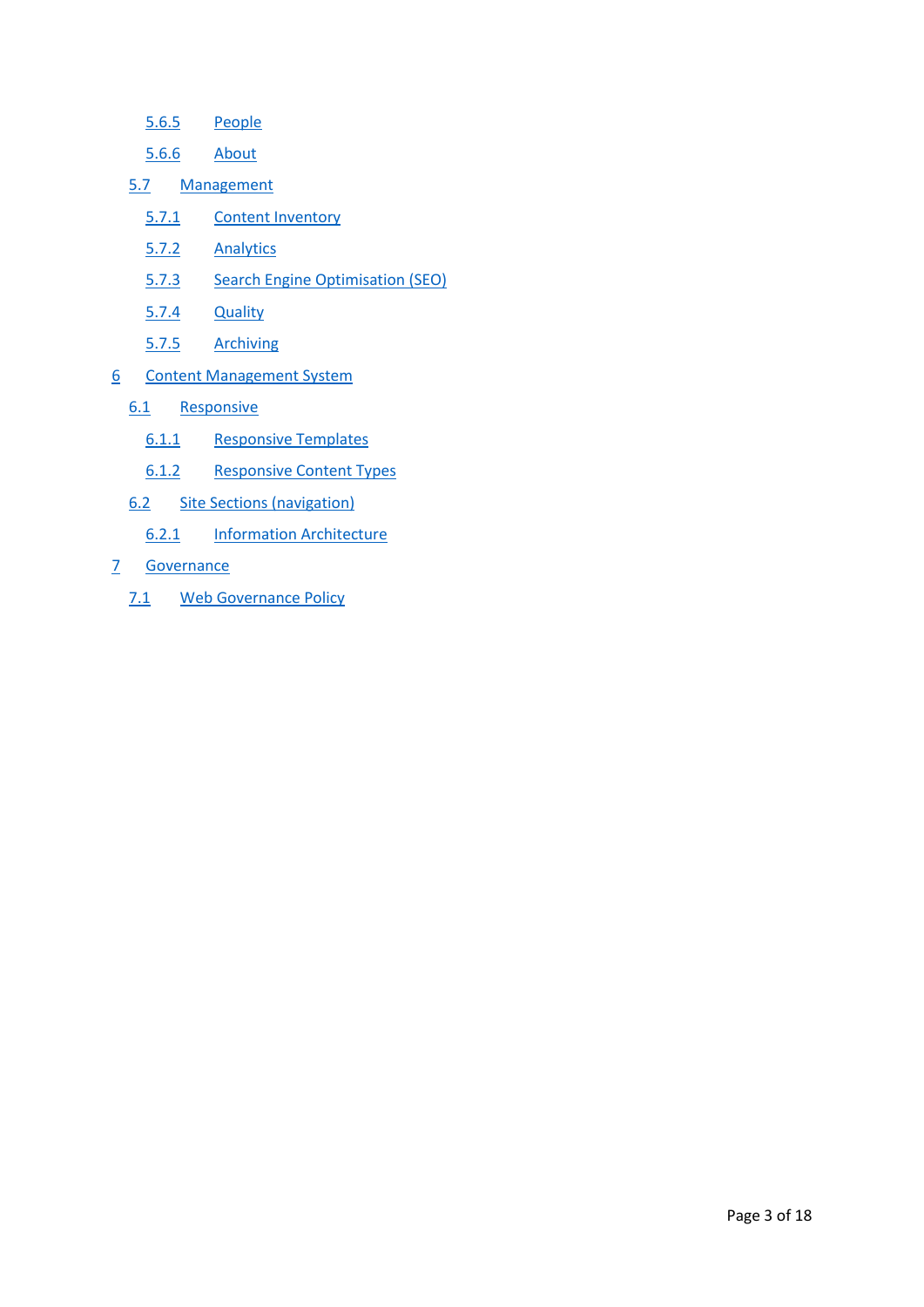- [5.6.5](#page-14-0) [People](#page-14-0)
- [5.6.6](#page-14-1) [About](#page-14-1)
- [5.7](#page-14-2) [Management](#page-14-2)
	- [5.7.1](#page-14-3) [Content Inventory](#page-14-3)
	- [5.7.2](#page-15-0) [Analytics](#page-15-0)
	- [5.7.3](#page-15-1) [Search Engine Optimisation \(SEO\)](#page-15-1)
	- [5.7.4](#page-16-0) [Quality](#page-16-0)
	- [5.7.5](#page-16-1) [Archiving](#page-16-1)
- [6](#page-16-2) [Content Management System](#page-16-2)
	- [6.1](#page-16-3) [Responsive](#page-16-3)
		- [6.1.1](#page-16-4) [Responsive Templates](#page-16-4)
		- [6.1.2](#page-16-5) [Responsive Content Types](#page-16-5)
	- [6.2](#page-16-6) [Site Sections \(navigation\)](#page-16-6)
		- [6.2.1](#page-16-7) [Information Architecture](#page-16-7)
- [7](#page-17-0) [Governance](#page-17-0)
	- [7.1](#page-17-1) [Web Governance Policy](#page-17-1)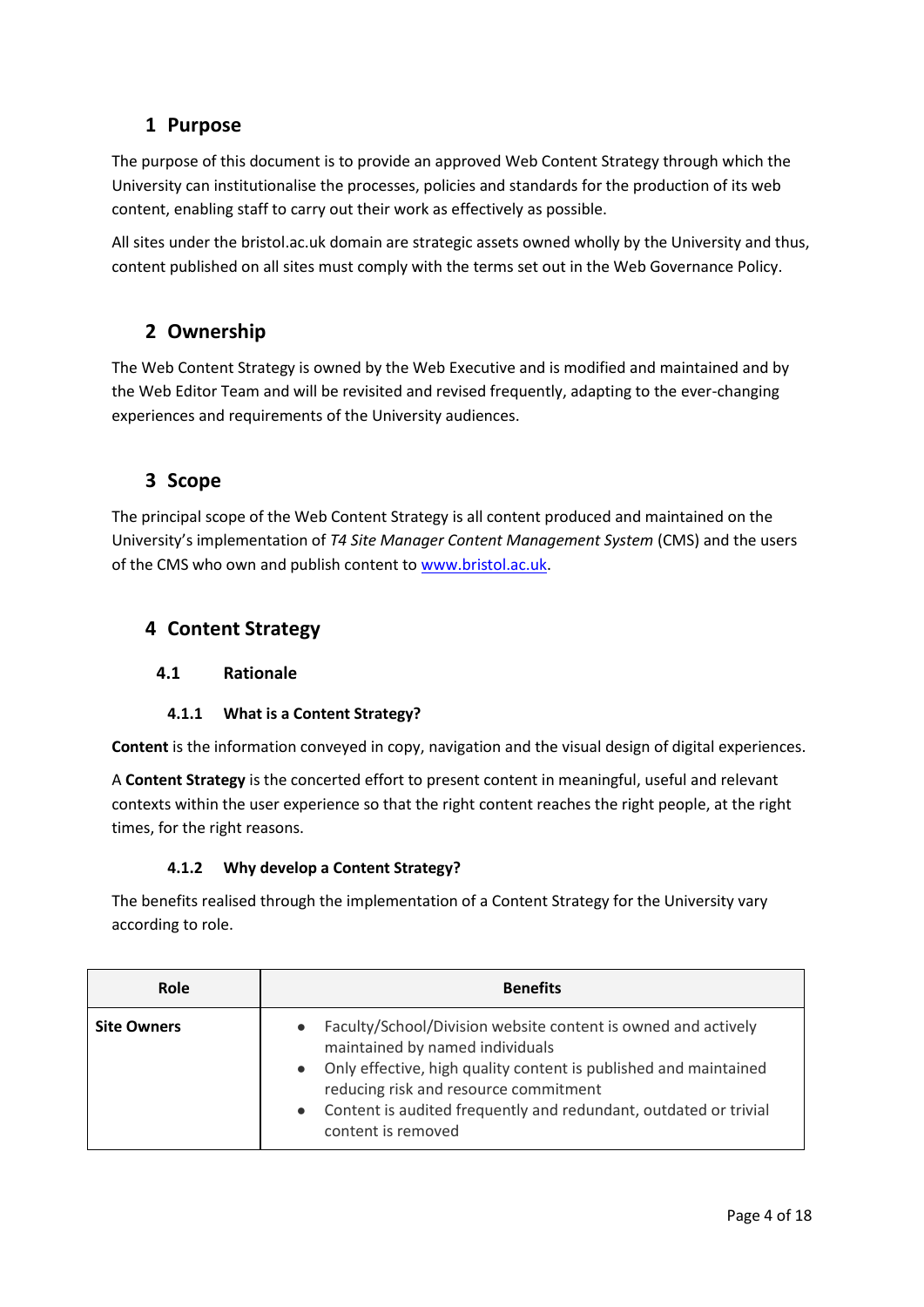# <span id="page-3-0"></span>**1 Purpose**

The purpose of this document is to provide an approved Web Content Strategy through which the University can institutionalise the processes, policies and standards for the production of its web content, enabling staff to carry out their work as effectively as possible.

All sites under the bristol.ac.uk domain are strategic assets owned wholly by the University and thus, content published on all sites must comply with the terms set out in the Web Governance Policy.

# <span id="page-3-1"></span>**2 Ownership**

The Web Content Strategy is owned by the Web Executive and is modified and maintained and by the Web Editor Team and will be revisited and revised frequently, adapting to the ever-changing experiences and requirements of the University audiences.

# <span id="page-3-2"></span>**3 Scope**

The principal scope of the Web Content Strategy is all content produced and maintained on the University's implementation of *T4 Site Manager Content Management System* (CMS) and the users of the CMS who own and publish content to [www.bristol.ac.uk.](http://www.bristol.ac.uk/)

# <span id="page-3-3"></span>**4 Content Strategy**

# <span id="page-3-4"></span>**4.1 Rationale**

# **4.1.1 What is a Content Strategy?**

<span id="page-3-5"></span>**Content** is the information conveyed in copy, navigation and the visual design of digital experiences.

A **Content Strategy** is the concerted effort to present content in meaningful, useful and relevant contexts within the user experience so that the right content reaches the right people, at the right times, for the right reasons.

#### **4.1.2 Why develop a Content Strategy?**

<span id="page-3-6"></span>The benefits realised through the implementation of a Content Strategy for the University vary according to role.

| Role               | <b>Benefits</b>                                                                                                                                                                                                                                                                                                                                |  |  |  |  |
|--------------------|------------------------------------------------------------------------------------------------------------------------------------------------------------------------------------------------------------------------------------------------------------------------------------------------------------------------------------------------|--|--|--|--|
| <b>Site Owners</b> | Faculty/School/Division website content is owned and actively<br>$\bullet$<br>maintained by named individuals<br>Only effective, high quality content is published and maintained<br>$\bullet$<br>reducing risk and resource commitment<br>Content is audited frequently and redundant, outdated or trivial<br>$\bullet$<br>content is removed |  |  |  |  |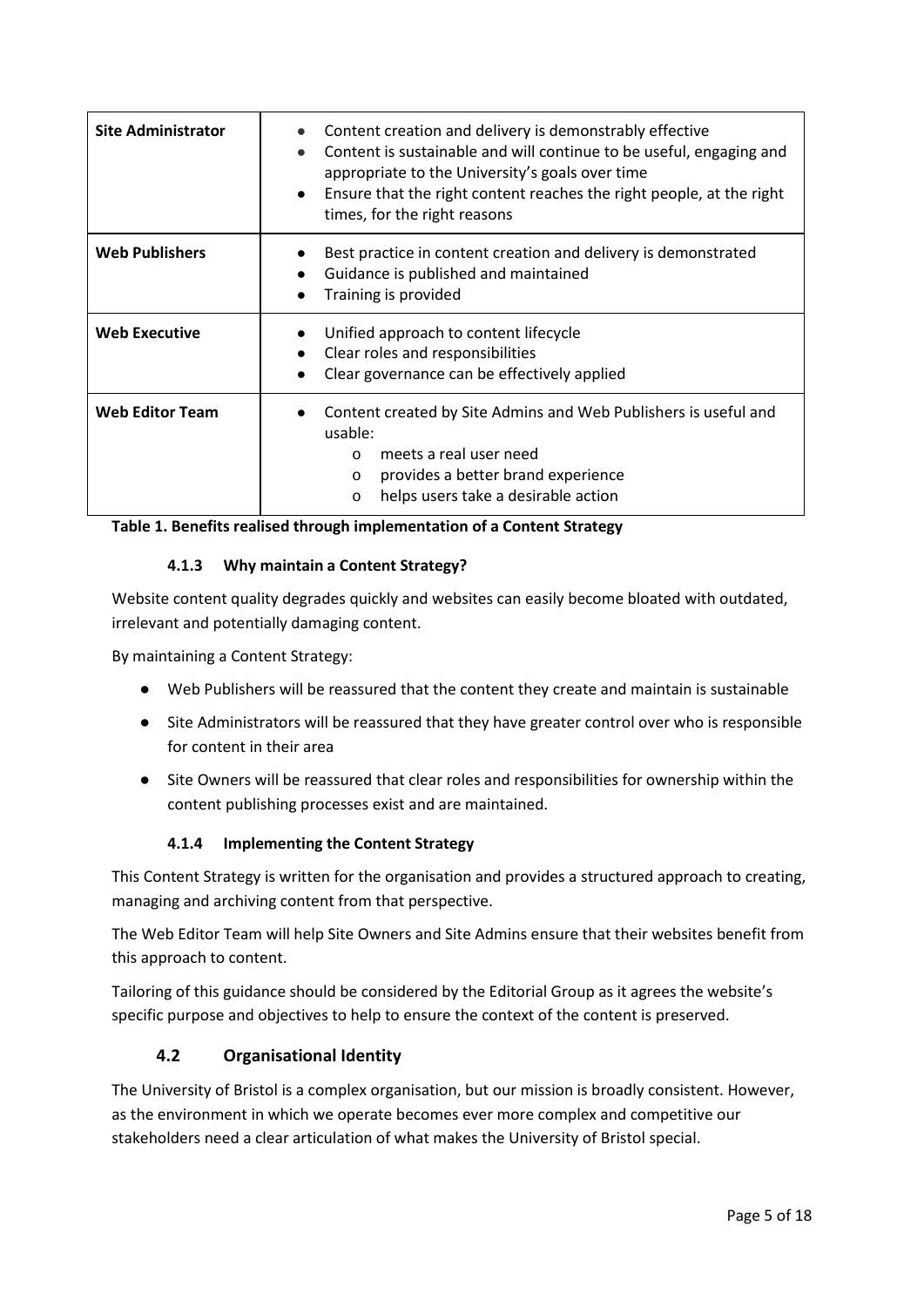| <b>Site Administrator</b> | Content creation and delivery is demonstrably effective<br>Content is sustainable and will continue to be useful, engaging and<br>$\bullet$<br>appropriate to the University's goals over time<br>Ensure that the right content reaches the right people, at the right<br>$\bullet$<br>times, for the right reasons |  |  |  |
|---------------------------|---------------------------------------------------------------------------------------------------------------------------------------------------------------------------------------------------------------------------------------------------------------------------------------------------------------------|--|--|--|
| <b>Web Publishers</b>     | Best practice in content creation and delivery is demonstrated<br>Guidance is published and maintained<br>$\bullet$<br>Training is provided                                                                                                                                                                         |  |  |  |
| <b>Web Executive</b>      | Unified approach to content lifecycle<br>Clear roles and responsibilities<br>$\bullet$<br>Clear governance can be effectively applied                                                                                                                                                                               |  |  |  |
| <b>Web Editor Team</b>    | Content created by Site Admins and Web Publishers is useful and<br>usable:<br>meets a real user need<br>$\Omega$<br>provides a better brand experience<br>$\Omega$<br>helps users take a desirable action<br>$\circ$                                                                                                |  |  |  |

<span id="page-4-0"></span>**Table 1. Benefits realised through implementation of a Content Strategy**

#### **4.1.3 Why maintain a Content Strategy?**

Website content quality degrades quickly and websites can easily become bloated with outdated, irrelevant and potentially damaging content.

By maintaining a Content Strategy:

- Web Publishers will be reassured that the content they create and maintain is sustainable
- Site Administrators will be reassured that they have greater control over who is responsible for content in their area
- Site Owners will be reassured that clear roles and responsibilities for ownership within the content publishing processes exist and are maintained.

#### **4.1.4 Implementing the Content Strategy**

<span id="page-4-1"></span>This Content Strategy is written for the organisation and provides a structured approach to creating, managing and archiving content from that perspective.

The Web Editor Team will help Site Owners and Site Admins ensure that their websites benefit from this approach to content.

Tailoring of this guidance should be considered by the Editorial Group as it agrees the website's specific purpose and objectives to help to ensure the context of the content is preserved.

#### **4.2 Organisational Identity**

<span id="page-4-2"></span>The University of Bristol is a complex organisation, but our mission is broadly consistent. However, as the environment in which we operate becomes ever more complex and competitive our stakeholders need a clear articulation of what makes the University of Bristol special.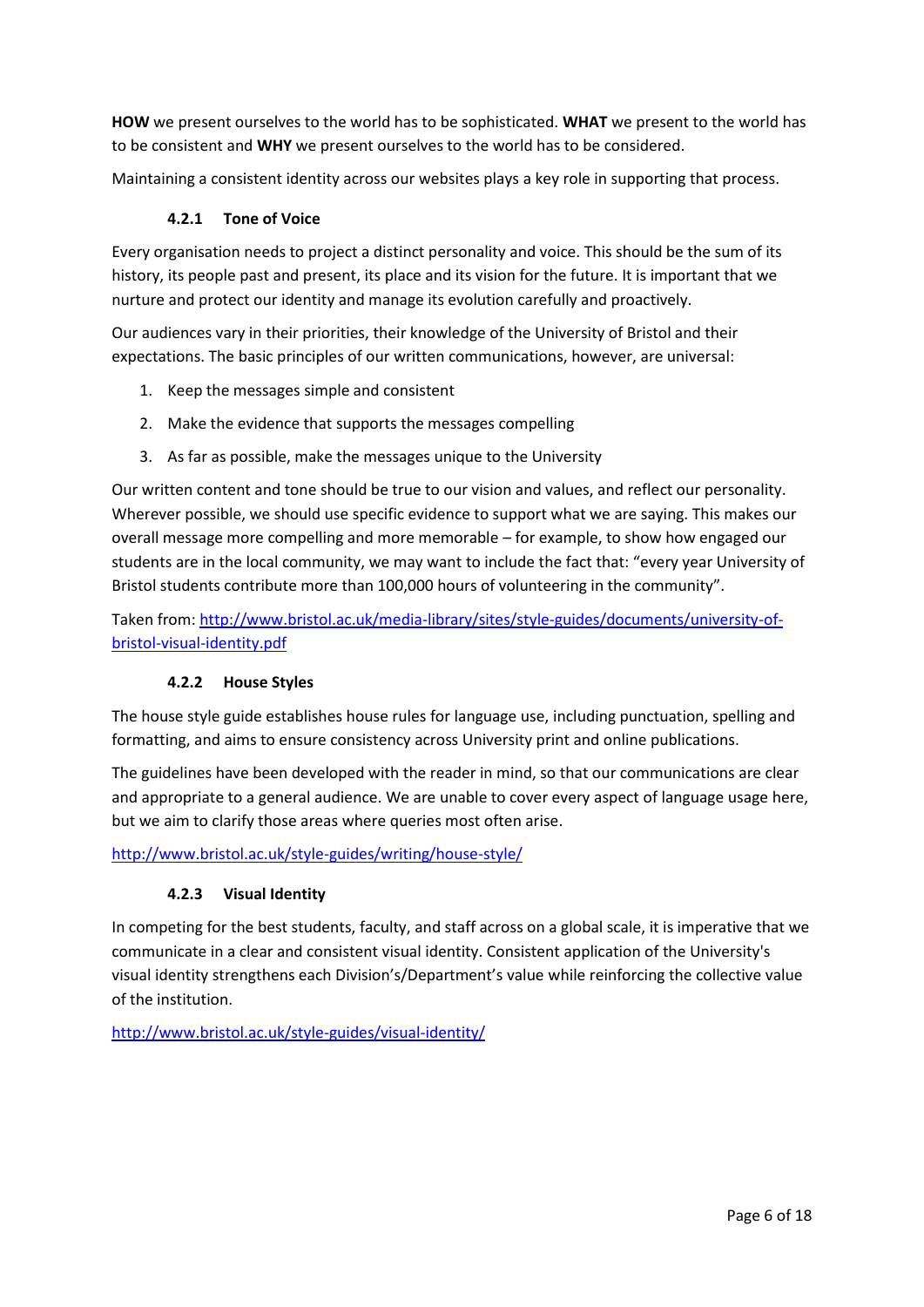**HOW** we present ourselves to the world has to be sophisticated. **WHAT** we present to the world has to be consistent and **WHY** we present ourselves to the world has to be considered.

<span id="page-5-0"></span>Maintaining a consistent identity across our websites plays a key role in supporting that process.

#### **4.2.1 Tone of Voice**

Every organisation needs to project a distinct personality and voice. This should be the sum of its history, its people past and present, its place and its vision for the future. It is important that we nurture and protect our identity and manage its evolution carefully and proactively.

Our audiences vary in their priorities, their knowledge of the University of Bristol and their expectations. The basic principles of our written communications, however, are universal:

- 1. Keep the messages simple and consistent
- 2. Make the evidence that supports the messages compelling
- 3. As far as possible, make the messages unique to the University

Our written content and tone should be true to our vision and values, and reflect our personality. Wherever possible, we should use specific evidence to support what we are saying. This makes our overall message more compelling and more memorable – for example, to show how engaged our students are in the local community, we may want to include the fact that: "every year University of Bristol students contribute more than 100,000 hours of volunteering in the community".

Taken from[: http://www.bristol.ac.uk/media-library/sites/style-guides/documents/university-of](http://www.bristol.ac.uk/media-library/sites/style-guides/documents/university-of-bristol-visual-identity.pdf)[bristol-visual-identity.pdf](http://www.bristol.ac.uk/media-library/sites/style-guides/documents/university-of-bristol-visual-identity.pdf)

#### **4.2.2 House Styles**

<span id="page-5-1"></span>The house style guide establishes house rules for language use, including punctuation, spelling and formatting, and aims to ensure consistency across University print and online publications.

The guidelines have been developed with the reader in mind, so that our communications are clear and appropriate to a general audience. We are unable to cover every aspect of language usage here, but we aim to clarify those areas where queries most often arise.

#### <span id="page-5-2"></span><http://www.bristol.ac.uk/style-guides/writing/house-style/>

#### **4.2.3 Visual Identity**

In competing for the best students, faculty, and staff across on a global scale, it is imperative that we communicate in a clear and consistent visual identity. Consistent application of the University's visual identity strengthens each Division's/Department's value while reinforcing the collective value of the institution.

<http://www.bristol.ac.uk/style-guides/visual-identity/>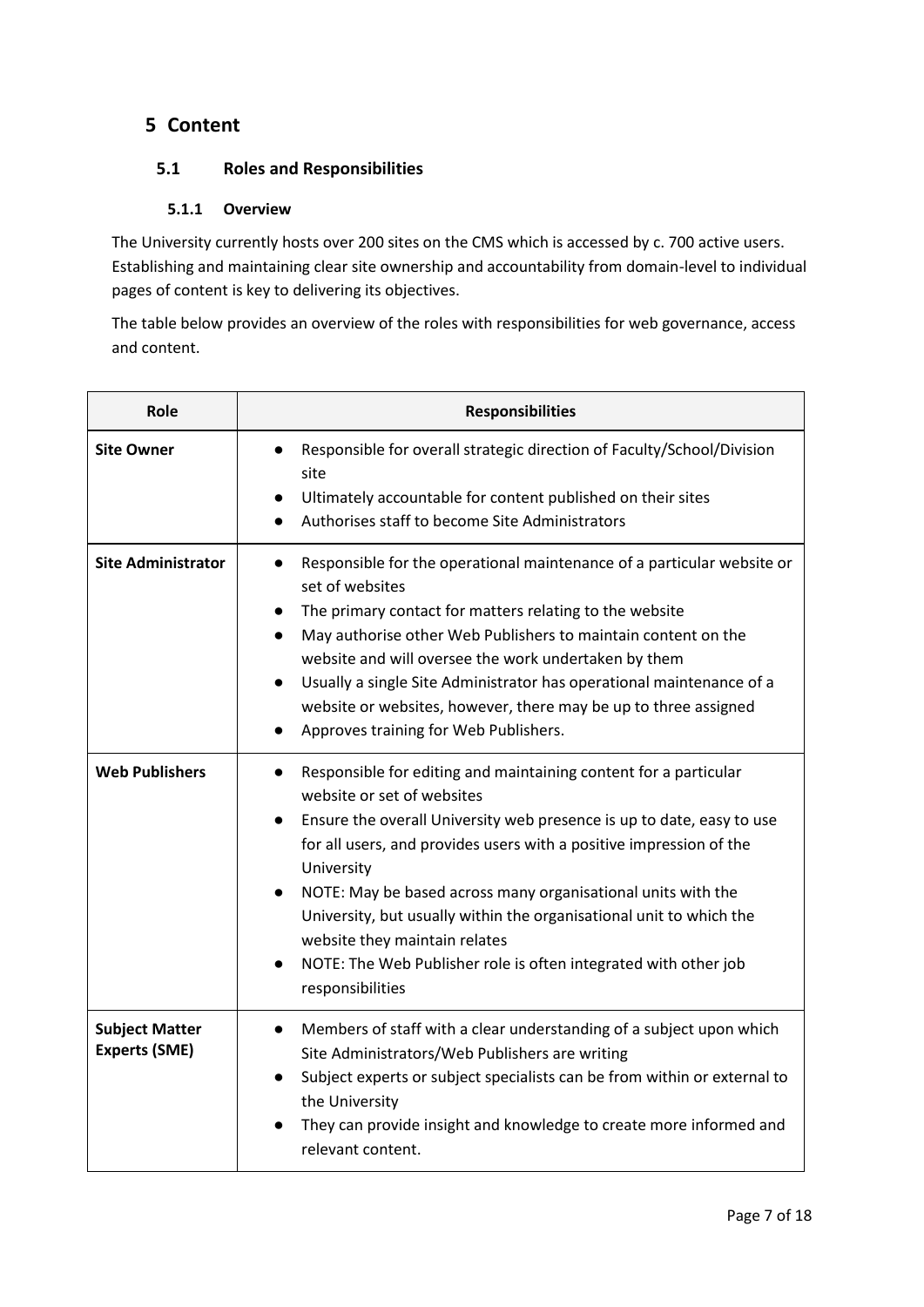# <span id="page-6-0"></span>**5 Content**

### <span id="page-6-1"></span>**5.1 Roles and Responsibilities**

#### **5.1.1 Overview**

<span id="page-6-2"></span>The University currently hosts over 200 sites on the CMS which is accessed by c. 700 active users. Establishing and maintaining clear site ownership and accountability from domain-level to individual pages of content is key to delivering its objectives.

The table below provides an overview of the roles with responsibilities for web governance, access and content.

| Role                                          | <b>Responsibilities</b>                                                                                                                                                                                                                                                                                                                                                                                                                                                                                                                               |  |  |  |  |  |
|-----------------------------------------------|-------------------------------------------------------------------------------------------------------------------------------------------------------------------------------------------------------------------------------------------------------------------------------------------------------------------------------------------------------------------------------------------------------------------------------------------------------------------------------------------------------------------------------------------------------|--|--|--|--|--|
| <b>Site Owner</b>                             | Responsible for overall strategic direction of Faculty/School/Division<br>site<br>Ultimately accountable for content published on their sites<br>Authorises staff to become Site Administrators                                                                                                                                                                                                                                                                                                                                                       |  |  |  |  |  |
| <b>Site Administrator</b>                     | Responsible for the operational maintenance of a particular website or<br>$\bullet$<br>set of websites<br>The primary contact for matters relating to the website<br>May authorise other Web Publishers to maintain content on the<br>website and will oversee the work undertaken by them<br>Usually a single Site Administrator has operational maintenance of a<br>$\bullet$<br>website or websites, however, there may be up to three assigned<br>Approves training for Web Publishers.                                                           |  |  |  |  |  |
| <b>Web Publishers</b>                         | Responsible for editing and maintaining content for a particular<br>website or set of websites<br>Ensure the overall University web presence is up to date, easy to use<br>$\bullet$<br>for all users, and provides users with a positive impression of the<br>University<br>NOTE: May be based across many organisational units with the<br>$\bullet$<br>University, but usually within the organisational unit to which the<br>website they maintain relates<br>NOTE: The Web Publisher role is often integrated with other job<br>responsibilities |  |  |  |  |  |
| <b>Subject Matter</b><br><b>Experts (SME)</b> | Members of staff with a clear understanding of a subject upon which<br>$\bullet$<br>Site Administrators/Web Publishers are writing<br>Subject experts or subject specialists can be from within or external to<br>the University<br>They can provide insight and knowledge to create more informed and<br>relevant content.                                                                                                                                                                                                                           |  |  |  |  |  |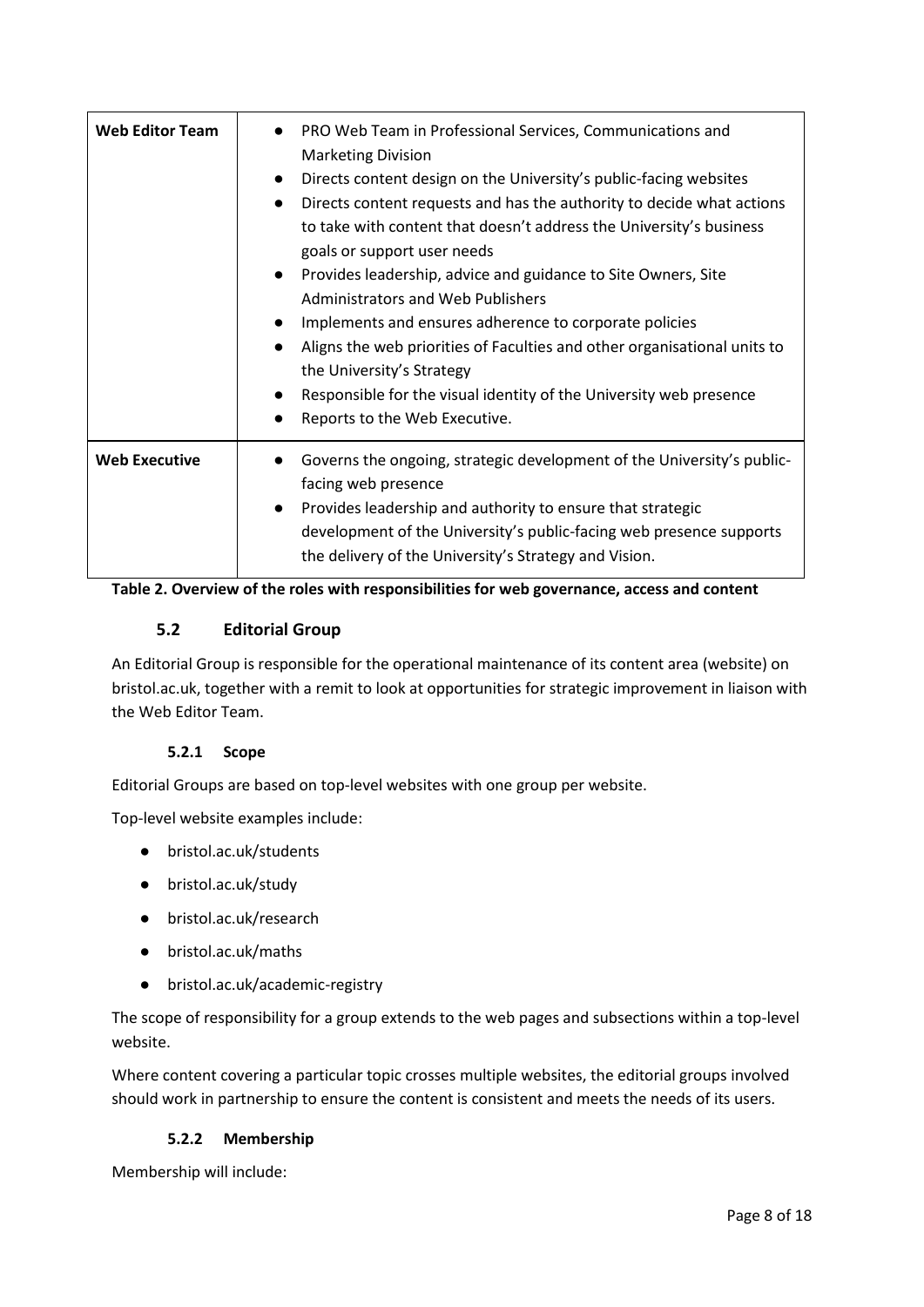| <b>Web Editor Team</b> | PRO Web Team in Professional Services, Communications and<br><b>Marketing Division</b><br>Directs content design on the University's public-facing websites<br>$\bullet$<br>Directs content requests and has the authority to decide what actions<br>$\bullet$<br>to take with content that doesn't address the University's business<br>goals or support user needs<br>Provides leadership, advice and guidance to Site Owners, Site<br>$\bullet$<br>Administrators and Web Publishers<br>Implements and ensures adherence to corporate policies<br>Aligns the web priorities of Faculties and other organisational units to<br>the University's Strategy<br>Responsible for the visual identity of the University web presence<br>Reports to the Web Executive. |
|------------------------|-------------------------------------------------------------------------------------------------------------------------------------------------------------------------------------------------------------------------------------------------------------------------------------------------------------------------------------------------------------------------------------------------------------------------------------------------------------------------------------------------------------------------------------------------------------------------------------------------------------------------------------------------------------------------------------------------------------------------------------------------------------------|
| <b>Web Executive</b>   | Governs the ongoing, strategic development of the University's public-<br>facing web presence<br>Provides leadership and authority to ensure that strategic<br>$\bullet$<br>development of the University's public-facing web presence supports<br>the delivery of the University's Strategy and Vision.                                                                                                                                                                                                                                                                                                                                                                                                                                                          |

<span id="page-7-0"></span>

### **5.2 Editorial Group**

An Editorial Group is responsible for the operational maintenance of its content area (website) on bristol.ac.uk, together with a remit to look at opportunities for strategic improvement in liaison with the Web Editor Team.

#### **5.2.1 Scope**

<span id="page-7-1"></span>Editorial Groups are based on top-level websites with one group per website.

Top-level website examples include:

- bristol.ac.uk/students
- bristol.ac.uk/study
- bristol.ac.uk/research
- bristol.ac.uk/maths
- bristol.ac.uk/academic-registry

The scope of responsibility for a group extends to the web pages and subsections within a top-level website.

Where content covering a particular topic crosses multiple websites, the editorial groups involved should work in partnership to ensure the content is consistent and meets the needs of its users.

#### **5.2.2 Membership**

<span id="page-7-2"></span>Membership will include: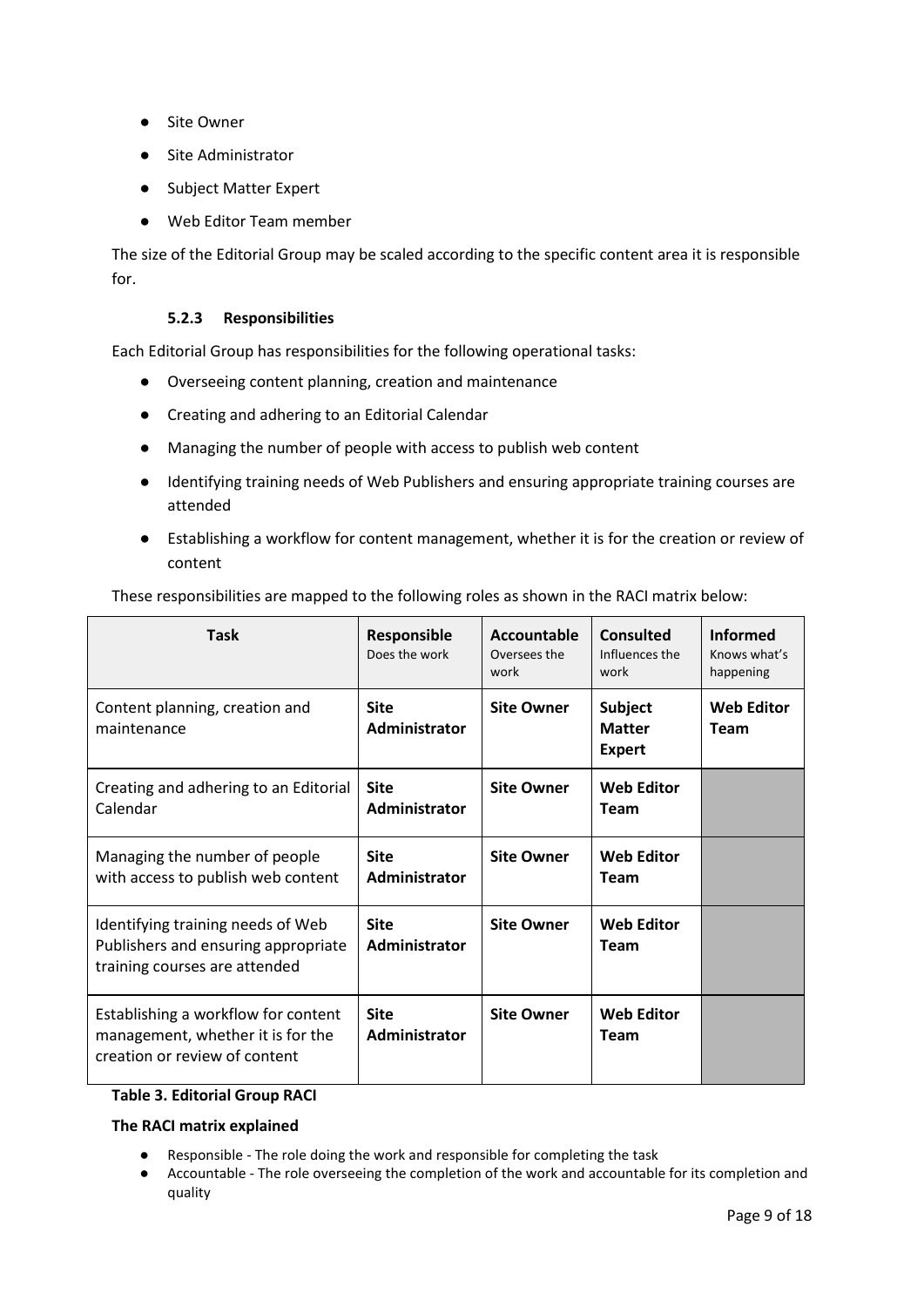- Site Owner
- Site Administrator
- Subject Matter Expert
- Web Editor Team member

The size of the Editorial Group may be scaled according to the specific content area it is responsible for.

#### **5.2.3 Responsibilities**

<span id="page-8-0"></span>Each Editorial Group has responsibilities for the following operational tasks:

- Overseeing content planning, creation and maintenance
- Creating and adhering to an Editorial Calendar
- Managing the number of people with access to publish web content
- Identifying training needs of Web Publishers and ensuring appropriate training courses are attended
- Establishing a workflow for content management, whether it is for the creation or review of content

| <b>Task</b>                                                                                               | Responsible<br>Does the work | Accountable<br>Oversees the<br>work | <b>Consulted</b><br>Influences the<br>work       | <b>Informed</b><br>Knows what's<br>happening |
|-----------------------------------------------------------------------------------------------------------|------------------------------|-------------------------------------|--------------------------------------------------|----------------------------------------------|
| Content planning, creation and<br>maintenance                                                             | <b>Site</b><br>Administrator | <b>Site Owner</b>                   | <b>Subject</b><br><b>Matter</b><br><b>Expert</b> | <b>Web Editor</b><br><b>Team</b>             |
| Creating and adhering to an Editorial<br>Calendar                                                         | <b>Site</b><br>Administrator | <b>Site Owner</b>                   | <b>Web Editor</b><br><b>Team</b>                 |                                              |
| Managing the number of people<br>with access to publish web content                                       | <b>Site</b><br>Administrator | <b>Site Owner</b>                   | <b>Web Editor</b><br><b>Team</b>                 |                                              |
| Identifying training needs of Web<br>Publishers and ensuring appropriate<br>training courses are attended | <b>Site</b><br>Administrator | <b>Site Owner</b>                   | <b>Web Editor</b><br><b>Team</b>                 |                                              |
| Establishing a workflow for content<br>management, whether it is for the<br>creation or review of content | <b>Site</b><br>Administrator | <b>Site Owner</b>                   | <b>Web Editor</b><br><b>Team</b>                 |                                              |

These responsibilities are mapped to the following roles as shown in the RACI matrix below:

#### **Table 3. Editorial Group RACI**

#### **The RACI matrix explained**

- Responsible The role doing the work and responsible for completing the task
- Accountable The role overseeing the completion of the work and accountable for its completion and quality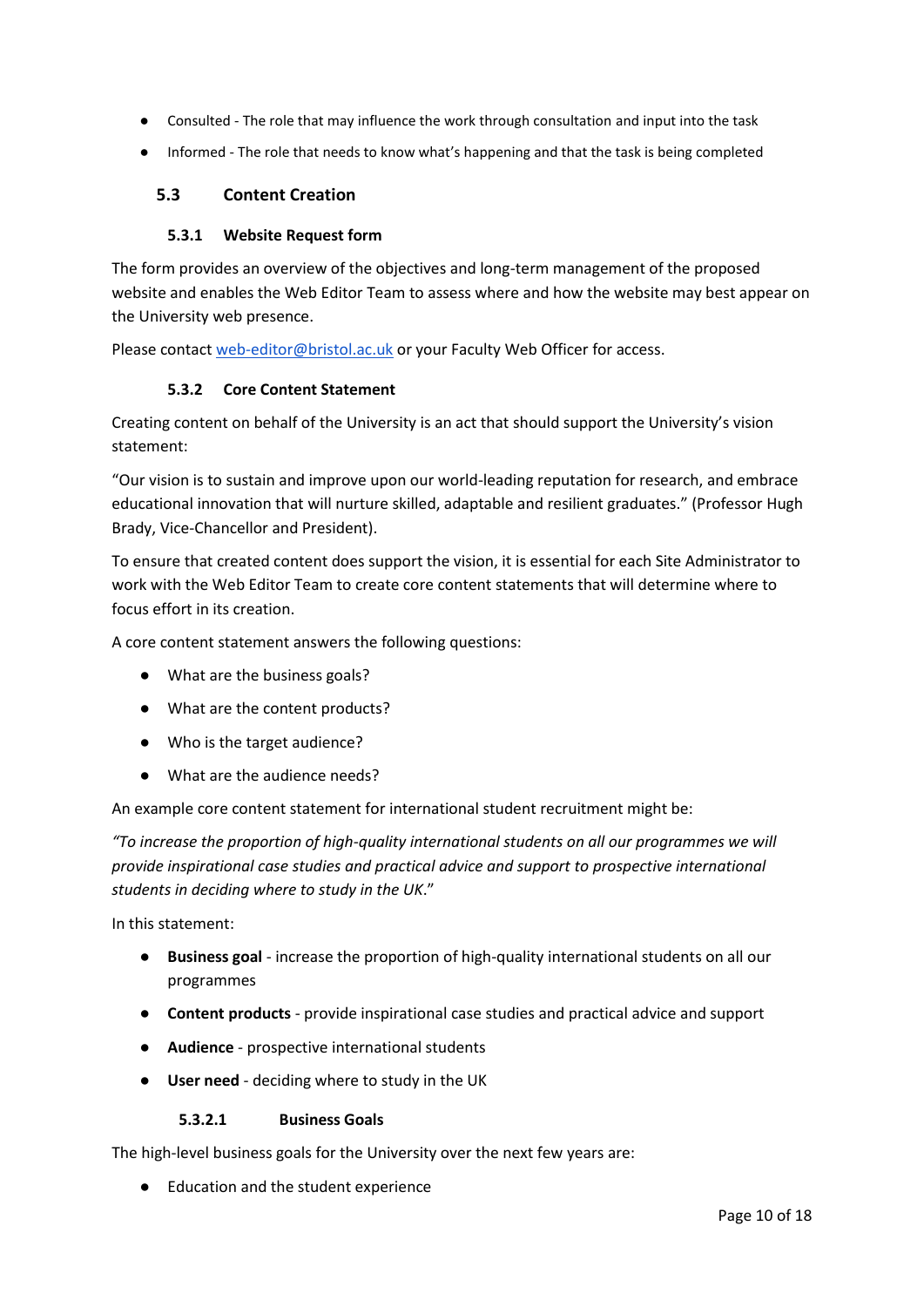- Consulted The role that may influence the work through consultation and input into the task
- Informed The role that needs to know what's happening and that the task is being completed

#### <span id="page-9-0"></span>**5.3 Content Creation**

#### **5.3.1 Website Request form**

<span id="page-9-1"></span>The form provides an overview of the objectives and long-term management of the proposed website and enables the Web Editor Team to assess where and how the website may best appear on the University web presence.

<span id="page-9-2"></span>Please contact [web-editor@bristol.ac.uk](mailto:web-editor@bristol.ac.uk) or your Faculty Web Officer for access.

#### **5.3.2 Core Content Statement**

Creating content on behalf of the University is an act that should support the University's vision statement:

"Our vision is to sustain and improve upon our world-leading reputation for research, and embrace educational innovation that will nurture skilled, adaptable and resilient graduates." (Professor Hugh Brady, Vice-Chancellor and President).

To ensure that created content does support the vision, it is essential for each Site Administrator to work with the Web Editor Team to create core content statements that will determine where to focus effort in its creation.

A core content statement answers the following questions:

- What are the business goals?
- What are the content products?
- Who is the target audience?
- What are the audience needs?

An example core content statement for international student recruitment might be:

*"To increase the proportion of high-quality international students on all our programmes we will provide inspirational case studies and practical advice and support to prospective international students in deciding where to study in the UK*."

In this statement:

- **Business goal** increase the proportion of high-quality international students on all our programmes
- **Content products**  provide inspirational case studies and practical advice and support
- **Audience** prospective international students
- **User need** deciding where to study in the UK

#### **5.3.2.1 Business Goals**

The high-level business goals for the University over the next few years are:

● Education and the student experience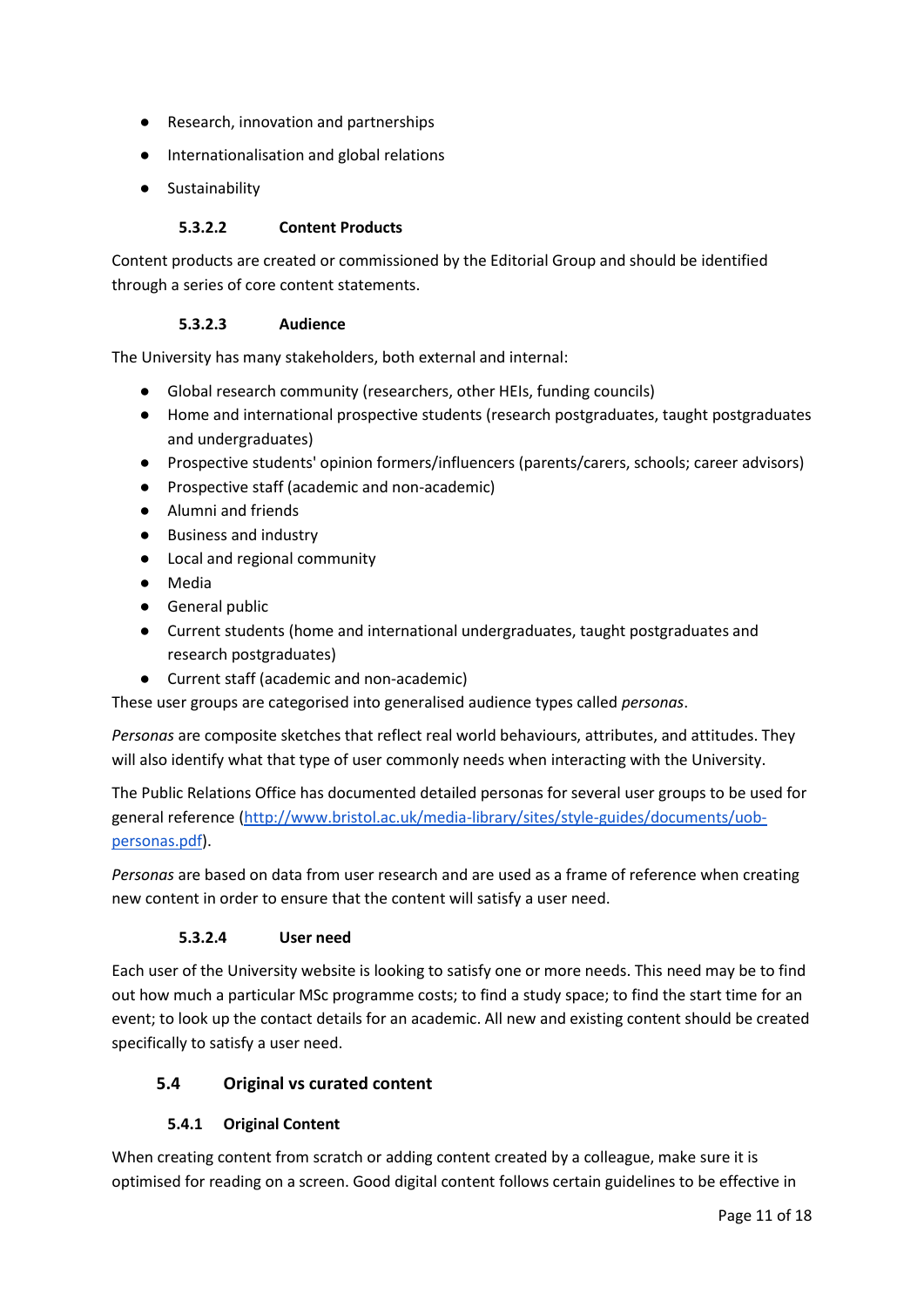- Research, innovation and partnerships
- Internationalisation and global relations
- Sustainability

#### **5.3.2.2 Content Products**

Content products are created or commissioned by the Editorial Group and should be identified through a series of core content statements.

#### **5.3.2.3 Audience**

The University has many stakeholders, both external and internal:

- Global research community (researchers, other HEIs, funding councils)
- Home and international prospective students (research postgraduates, taught postgraduates and undergraduates)
- Prospective students' opinion formers/influencers (parents/carers, schools; career advisors)
- Prospective staff (academic and non-academic)
- Alumni and friends
- Business and industry
- Local and regional community
- Media
- General public
- Current students (home and international undergraduates, taught postgraduates and research postgraduates)
- Current staff (academic and non-academic)

These user groups are categorised into generalised audience types called *personas*.

*Personas* are composite sketches that reflect real world behaviours, attributes, and attitudes. They will also identify what that type of user commonly needs when interacting with the University.

The Public Relations Office has documented detailed personas for several user groups to be used for general reference [\(http://www.bristol.ac.uk/media-library/sites/style-guides/documents/uob](http://www.bristol.ac.uk/media-library/sites/style-guides/documents/uob-personas.pdf)[personas.pdf\)](http://www.bristol.ac.uk/media-library/sites/style-guides/documents/uob-personas.pdf).

*Personas* are based on data from user research and are used as a frame of reference when creating new content in order to ensure that the content will satisfy a user need.

#### **5.3.2.4 User need**

Each user of the University website is looking to satisfy one or more needs. This need may be to find out how much a particular MSc programme costs; to find a study space; to find the start time for an event; to look up the contact details for an academic. All new and existing content should be created specifically to satisfy a user need.

#### <span id="page-10-0"></span>**5.4 Original vs curated content**

#### **5.4.1 Original Content**

<span id="page-10-1"></span>When creating content from scratch or adding content created by a colleague, make sure it is optimised for reading on a screen. Good digital content follows certain guidelines to be effective in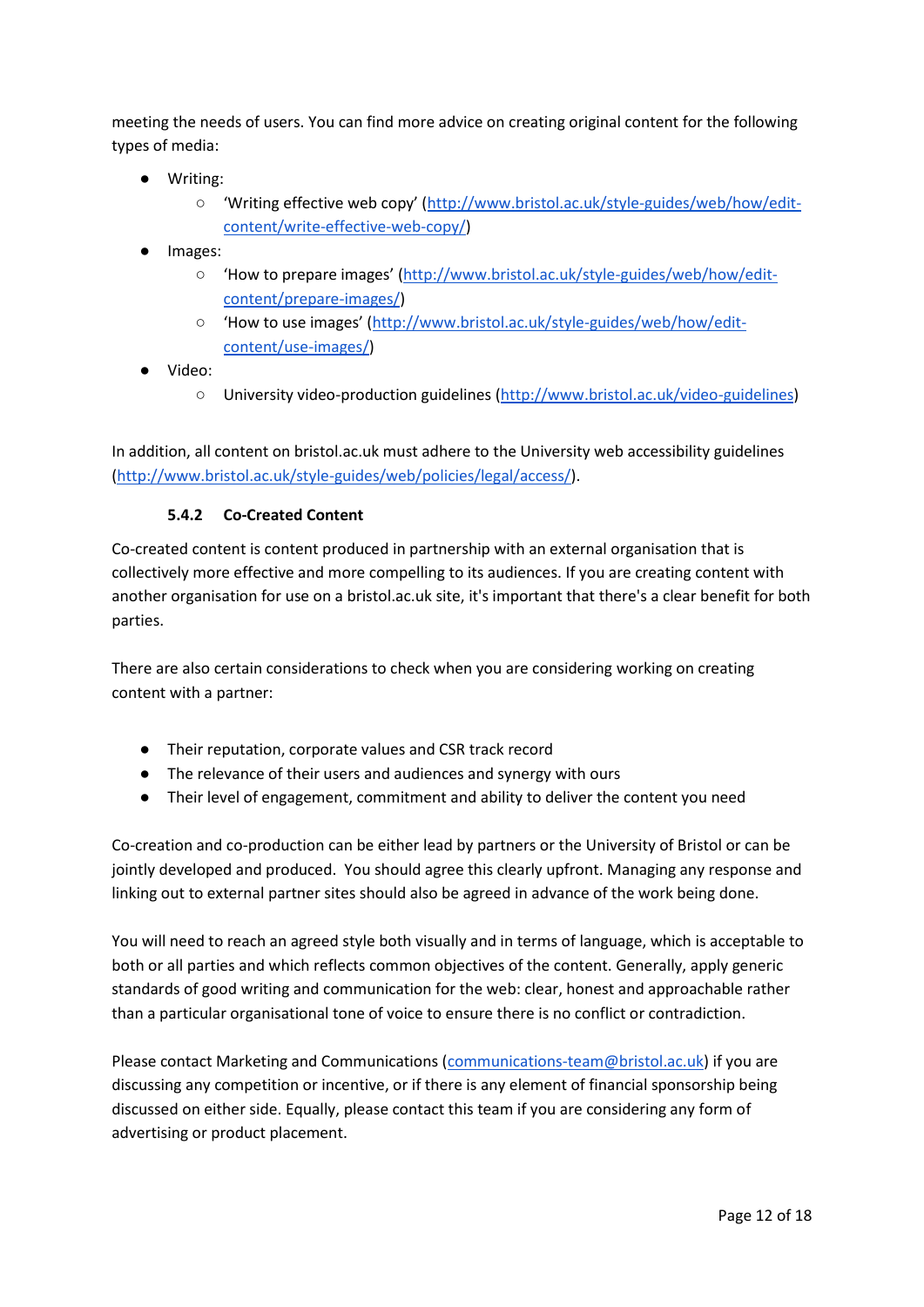meeting the needs of users. You can find more advice on creating original content for the following types of media:

- Writing:
	- 'Writing effective web copy' ([http://www.bristol.ac.uk/style-guides/web/how/edit](http://www.bristol.ac.uk/style-guides/web/how/edit-content/write-effective-web-copy/)[content/write-effective-web-copy/\)](http://www.bristol.ac.uk/style-guides/web/how/edit-content/write-effective-web-copy/)
- Images:
	- How to prepare images' ([http://www.bristol.ac.uk/style-guides/web/how/edit](http://www.bristol.ac.uk/style-guides/web/how/edit-content/prepare-images/)[content/prepare-images/\)](http://www.bristol.ac.uk/style-guides/web/how/edit-content/prepare-images/)
	- 'How to use images' ([http://www.bristol.ac.uk/style-guides/web/how/edit](http://www.bristol.ac.uk/style-guides/web/how/edit-content/use-images/)[content/use-images/\)](http://www.bristol.ac.uk/style-guides/web/how/edit-content/use-images/)
- Video:
	- University video-production guidelines [\(http://www.bristol.ac.uk/video-guidelines\)](http://www.bristol.ac.uk/video-guidelines)

In addition, all content on bristol.ac.uk must adhere to the University web accessibility guidelines [\(http://www.bristol.ac.uk/style-guides/web/policies/legal/access/\)](http://www.bristol.ac.uk/style-guides/web/policies/legal/access/).

#### **5.4.2 Co-Created Content**

<span id="page-11-0"></span>Co-created content is content produced in partnership with an external organisation that is collectively more effective and more compelling to its audiences. If you are creating content with another organisation for use on a bristol.ac.uk site, it's important that there's a clear benefit for both parties.

There are also certain considerations to check when you are considering working on creating content with a partner:

- Their reputation, corporate values and CSR track record
- The relevance of their users and audiences and synergy with ours
- Their level of engagement, commitment and ability to deliver the content you need

Co-creation and co-production can be either lead by partners or the University of Bristol or can be jointly developed and produced. You should agree this clearly upfront. Managing any response and linking out to external partner sites should also be agreed in advance of the work being done.

You will need to reach an agreed style both visually and in terms of language, which is acceptable to both or all parties and which reflects common objectives of the content. Generally, apply generic standards of good writing and communication for the web: clear, honest and approachable rather than a particular organisational tone of voice to ensure there is no conflict or contradiction.

Please contact Marketing and Communications [\(communications-team@bristol.ac.uk\)](mailto:communications-team@bristol.ac.uk) if you are discussing any competition or incentive, or if there is any element of financial sponsorship being discussed on either side. Equally, please contact this team if you are considering any form of advertising or product placement.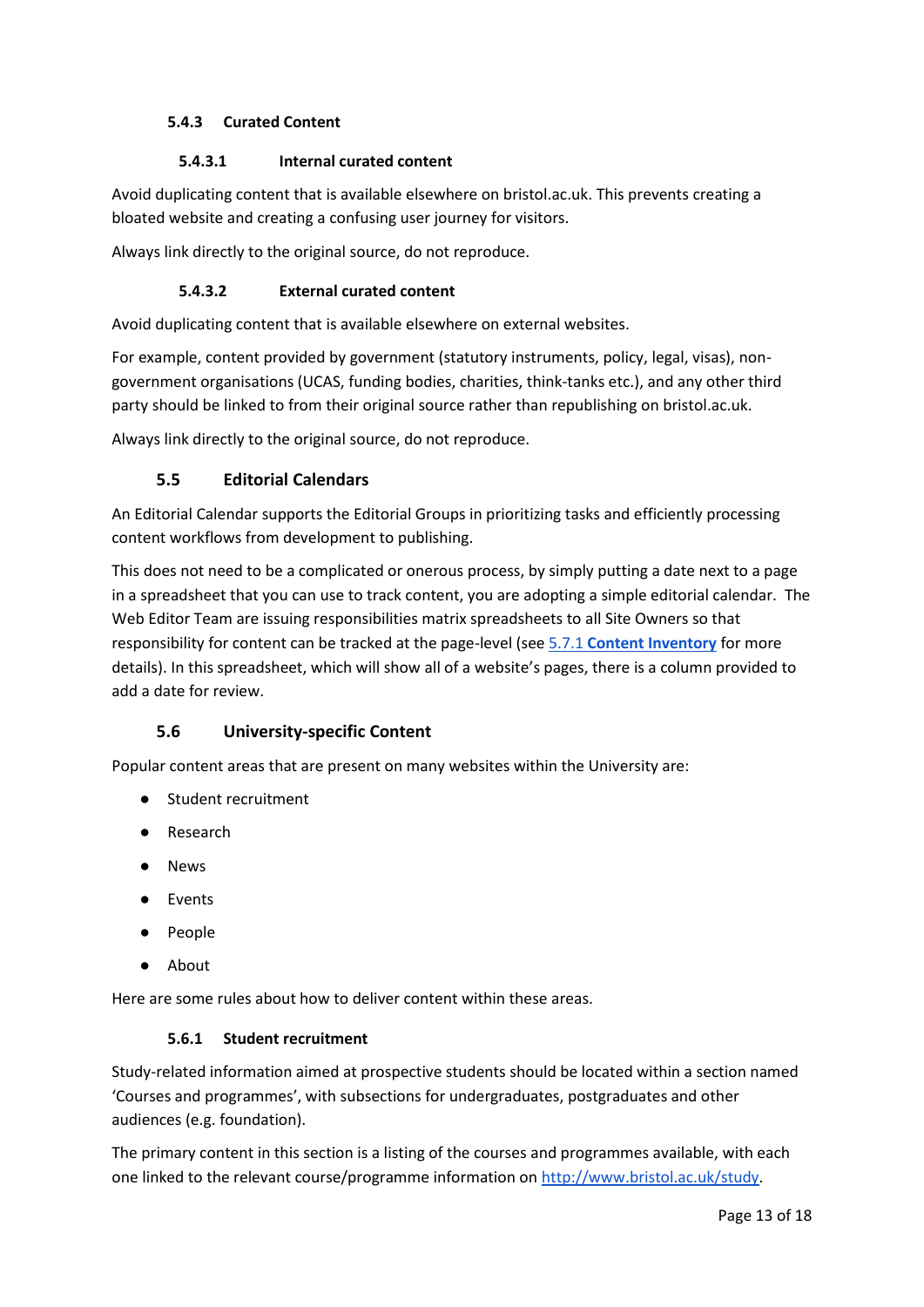### <span id="page-12-0"></span>**5.4.3 Curated Content**

#### **5.4.3.1 Internal curated content**

Avoid duplicating content that is available elsewhere on bristol.ac.uk. This prevents creating a bloated website and creating a confusing user journey for visitors.

Always link directly to the original source, do not reproduce.

#### **5.4.3.2 External curated content**

Avoid duplicating content that is available elsewhere on external websites.

For example, content provided by government (statutory instruments, policy, legal, visas), nongovernment organisations (UCAS, funding bodies, charities, think-tanks etc.), and any other third party should be linked to from their original source rather than republishing on bristol.ac.uk.

<span id="page-12-1"></span>Always link directly to the original source, do not reproduce.

# **5.5 Editorial Calendars**

An Editorial Calendar supports the Editorial Groups in prioritizing tasks and efficiently processing content workflows from development to publishing.

This does not need to be a complicated or onerous process, by simply putting a date next to a page in a spreadsheet that you can use to track content, you are adopting a simple editorial calendar. The Web Editor Team are issuing responsibilities matrix spreadsheets to all Site Owners so that responsibility for content can be tracked at the page-level (se[e 5.7.1](#page-14-3) **[Content Inventory](#page-14-3)** for more details). In this spreadsheet, which will show all of a website's pages, there is a column provided to add a date for review.

# **5.6 University-specific Content**

<span id="page-12-2"></span>Popular content areas that are present on many websites within the University are:

- Student recruitment
- Research
- News
- Events
- People
- About

<span id="page-12-3"></span>Here are some rules about how to deliver content within these areas.

#### **5.6.1 Student recruitment**

Study-related information aimed at prospective students should be located within a section named 'Courses and programmes', with subsections for undergraduates, postgraduates and other audiences (e.g. foundation).

The primary content in this section is a listing of the courses and programmes available, with each one linked to the relevant course/programme information on [http://www.bristol.ac.uk/study.](http://www.bristol.ac.uk/study)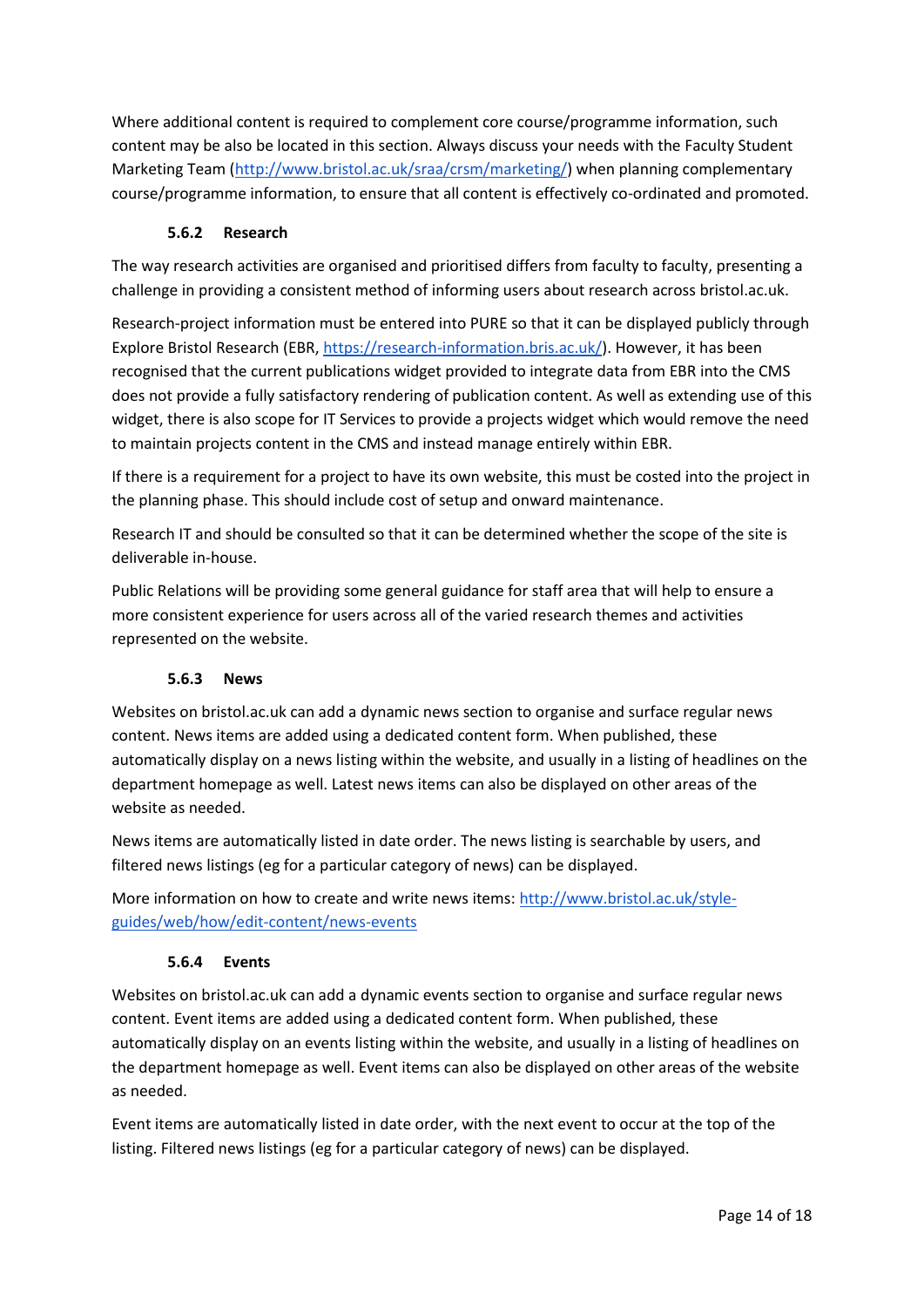Where additional content is required to complement core course/programme information, such content may be also be located in this section. Always discuss your needs with the Faculty Student Marketing Team [\(http://www.bristol.ac.uk/sraa/crsm/marketing/\)](http://www.bristol.ac.uk/sraa/crsm/marketing/) when planning complementary course/programme information, to ensure that all content is effectively co-ordinated and promoted.

#### **5.6.2 Research**

<span id="page-13-0"></span>The way research activities are organised and prioritised differs from faculty to faculty, presenting a challenge in providing a consistent method of informing users about research across bristol.ac.uk.

Research-project information must be entered into PURE so that it can be displayed publicly through Explore Bristol Research (EBR, [https://research-information.bris.ac.uk/\)](https://research-information.bris.ac.uk/). However, it has been recognised that the current publications widget provided to integrate data from EBR into the CMS does not provide a fully satisfactory rendering of publication content. As well as extending use of this widget, there is also scope for IT Services to provide a projects widget which would remove the need to maintain projects content in the CMS and instead manage entirely within EBR.

If there is a requirement for a project to have its own website, this must be costed into the project in the planning phase. This should include cost of setup and onward maintenance.

Research IT and should be consulted so that it can be determined whether the scope of the site is deliverable in-house.

Public Relations will be providing some general guidance for staff area that will help to ensure a more consistent experience for users across all of the varied research themes and activities represented on the website.

#### **5.6.3 News**

<span id="page-13-1"></span>Websites on bristol.ac.uk can add a dynamic news section to organise and surface regular news content. News items are added using a dedicated content form. When published, these automatically display on a news listing within the website, and usually in a listing of headlines on the department homepage as well. Latest news items can also be displayed on other areas of the website as needed.

News items are automatically listed in date order. The news listing is searchable by users, and filtered news listings (eg for a particular category of news) can be displayed.

More information on how to create and write news items: [http://www.bristol.ac.uk/style](http://www.bristol.ac.uk/style-guides/web/how/edit-content/news-events)[guides/web/how/edit-content/news-events](http://www.bristol.ac.uk/style-guides/web/how/edit-content/news-events)

#### **5.6.4 Events**

<span id="page-13-2"></span>Websites on bristol.ac.uk can add a dynamic events section to organise and surface regular news content. Event items are added using a dedicated content form. When published, these automatically display on an events listing within the website, and usually in a listing of headlines on the department homepage as well. Event items can also be displayed on other areas of the website as needed.

Event items are automatically listed in date order, with the next event to occur at the top of the listing. Filtered news listings (eg for a particular category of news) can be displayed.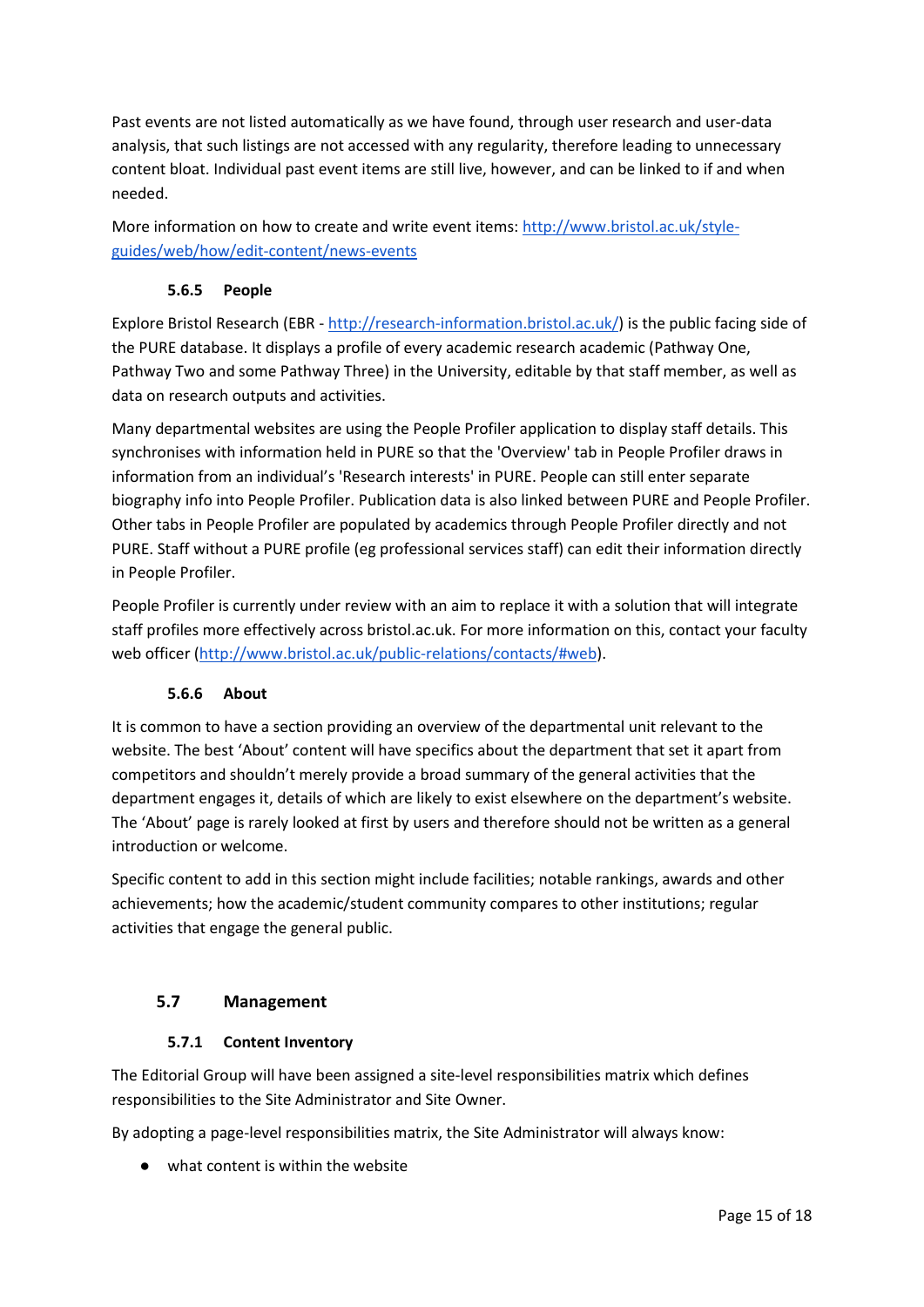Past events are not listed automatically as we have found, through user research and user-data analysis, that such listings are not accessed with any regularity, therefore leading to unnecessary content bloat. Individual past event items are still live, however, and can be linked to if and when needed.

More information on how to create and write event items[: http://www.bristol.ac.uk/style](http://www.bristol.ac.uk/style-guides/web/how/edit-content/news-events)[guides/web/how/edit-content/news-events](http://www.bristol.ac.uk/style-guides/web/how/edit-content/news-events)

#### **5.6.5 People**

<span id="page-14-0"></span>Explore Bristol Research (EBR - [http://research-information.bristol.ac.uk/\)](http://research-information.bristol.ac.uk/) is the public facing side of the PURE database. It displays a profile of every academic research academic (Pathway One, Pathway Two and some Pathway Three) in the University, editable by that staff member, as well as data on research outputs and activities.

Many departmental websites are using the People Profiler application to display staff details. This synchronises with information held in PURE so that the 'Overview' tab in People Profiler draws in information from an individual's 'Research interests' in PURE. People can still enter separate biography info into People Profiler. Publication data is also linked between PURE and People Profiler. Other tabs in People Profiler are populated by academics through People Profiler directly and not PURE. Staff without a PURE profile (eg professional services staff) can edit their information directly in People Profiler.

People Profiler is currently under review with an aim to replace it with a solution that will integrate staff profiles more effectively across bristol.ac.uk. For more information on this, contact your faculty web officer [\(http://www.bristol.ac.uk/public-relations/contacts/#web\)](http://www.bristol.ac.uk/public-relations/contacts/#web).

#### **5.6.6 About**

<span id="page-14-1"></span>It is common to have a section providing an overview of the departmental unit relevant to the website. The best 'About' content will have specifics about the department that set it apart from competitors and shouldn't merely provide a broad summary of the general activities that the department engages it, details of which are likely to exist elsewhere on the department's website. The 'About' page is rarely looked at first by users and therefore should not be written as a general introduction or welcome.

Specific content to add in this section might include facilities; notable rankings, awards and other achievements; how the academic/student community compares to other institutions; regular activities that engage the general public.

#### <span id="page-14-2"></span>**5.7 Management**

#### **5.7.1 Content Inventory**

<span id="page-14-3"></span>The Editorial Group will have been assigned a site-level responsibilities matrix which defines responsibilities to the Site Administrator and Site Owner.

By adopting a page-level responsibilities matrix, the Site Administrator will always know:

● what content is within the website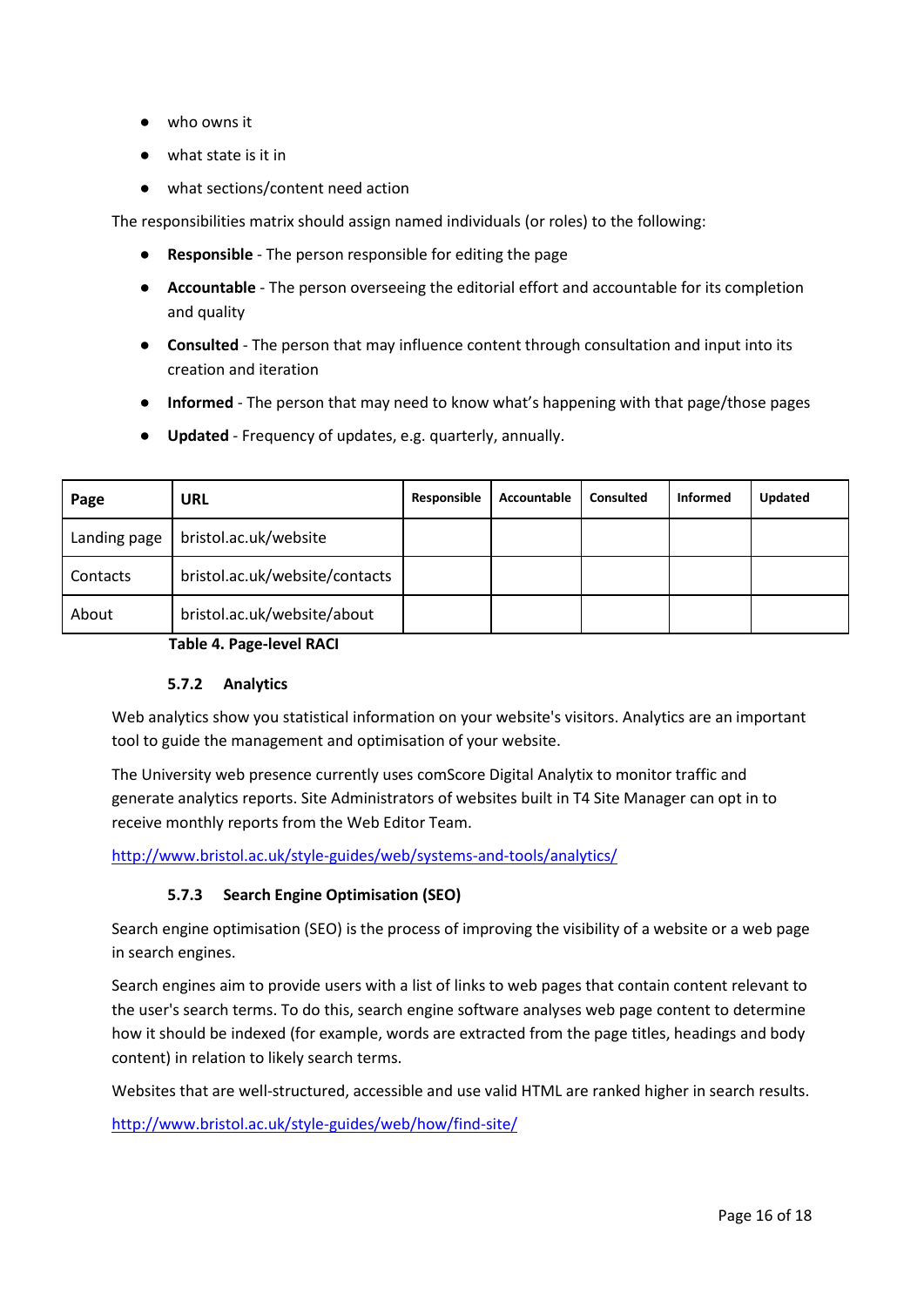- who owns it
- what state is it in
- what sections/content need action

The responsibilities matrix should assign named individuals (or roles) to the following:

- **Responsible** The person responsible for editing the page
- **Accountable** The person overseeing the editorial effort and accountable for its completion and quality
- **Consulted** The person that may influence content through consultation and input into its creation and iteration
- **Informed** The person that may need to know what's happening with that page/those pages
- **Updated** Frequency of updates, e.g. quarterly, annually.

| Page         | <b>URL</b>                     | Responsible | Accountable | <b>Consulted</b> | <b>Informed</b> | <b>Updated</b> |
|--------------|--------------------------------|-------------|-------------|------------------|-----------------|----------------|
| Landing page | bristol.ac.uk/website          |             |             |                  |                 |                |
| Contacts     | bristol.ac.uk/website/contacts |             |             |                  |                 |                |
| About        | bristol.ac.uk/website/about    |             |             |                  |                 |                |

**Table 4. Page-level RACI**

#### **5.7.2 Analytics**

<span id="page-15-0"></span>Web analytics show you statistical information on your website's visitors. Analytics are an important tool to guide the management and optimisation of your website.

The University web presence currently uses comScore Digital Analytix to monitor traffic and generate analytics reports. Site Administrators of websites built in T4 Site Manager can opt in to receive monthly reports from the Web Editor Team.

<span id="page-15-1"></span><http://www.bristol.ac.uk/style-guides/web/systems-and-tools/analytics/>

# **5.7.3 Search Engine Optimisation (SEO)**

Search engine optimisation (SEO) is the process of improving the visibility of a website or a web page in search engines.

Search engines aim to provide users with a list of links to web pages that contain content relevant to the user's search terms. To do this, search engine software analyses web page content to determine how it should be indexed (for example, words are extracted from the page titles, headings and body content) in relation to likely search terms.

Websites that are well-structured, accessible and use valid HTML are ranked higher in search results.

<http://www.bristol.ac.uk/style-guides/web/how/find-site/>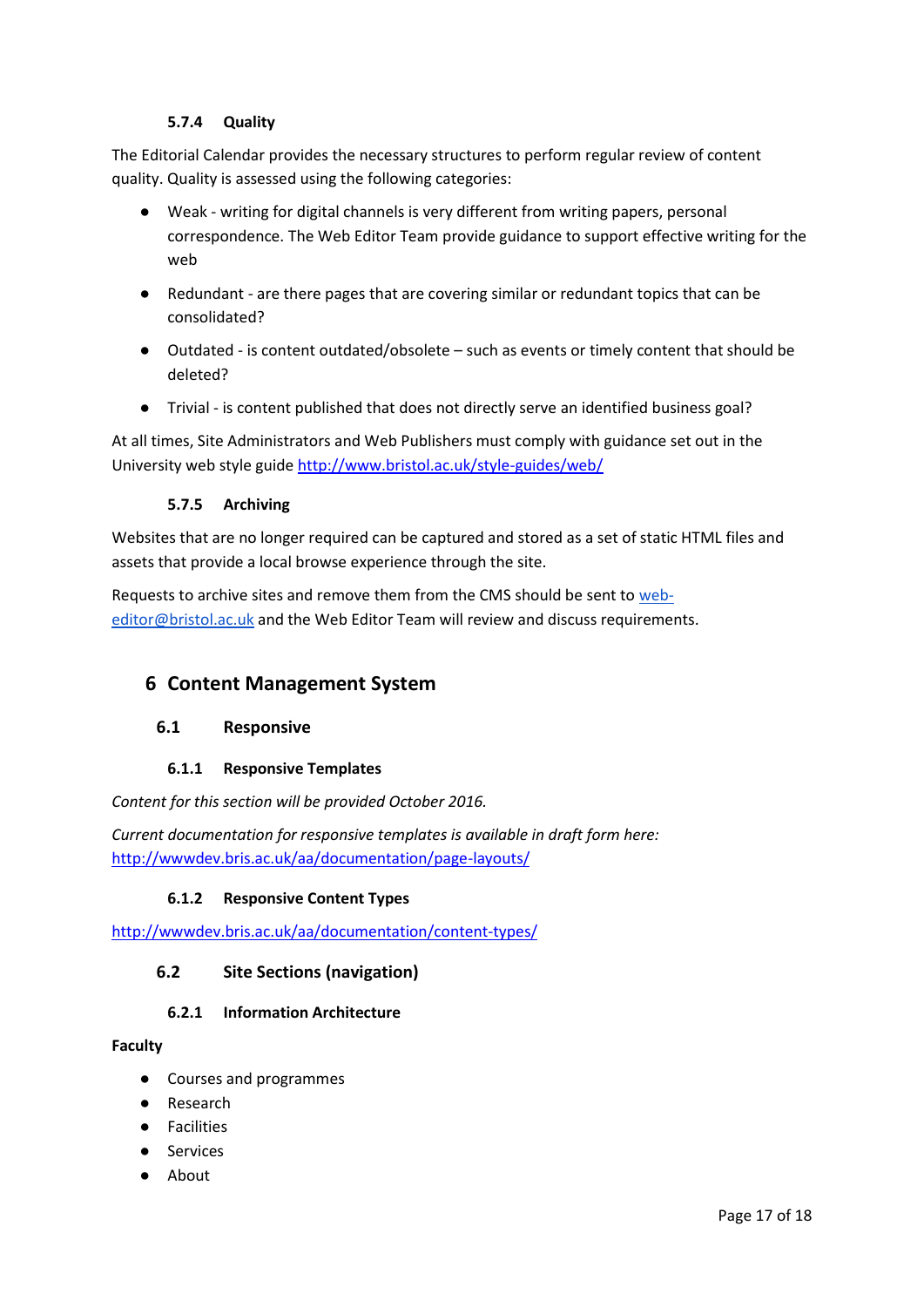#### **5.7.4 Quality**

<span id="page-16-0"></span>The Editorial Calendar provides the necessary structures to perform regular review of content quality. Quality is assessed using the following categories:

- Weak writing for digital channels is very different from writing papers, personal correspondence. The Web Editor Team provide guidance to support effective writing for the web
- Redundant are there pages that are covering similar or redundant topics that can be consolidated?
- Outdated is content outdated/obsolete such as events or timely content that should be deleted?
- Trivial is content published that does not directly serve an identified business goal?

At all times, Site Administrators and Web Publishers must comply with guidance set out in the University web style guide<http://www.bristol.ac.uk/style-guides/web/>

### **5.7.5 Archiving**

<span id="page-16-1"></span>Websites that are no longer required can be captured and stored as a set of static HTML files and assets that provide a local browse experience through the site.

Requests to archive sites and remove them from the CMS should be sent t[o web](mailto:web-editor@bristol.ac.uk)[editor@bristol.ac.uk](mailto:web-editor@bristol.ac.uk) and the Web Editor Team will review and discuss requirements.

# <span id="page-16-2"></span>**6 Content Management System**

#### <span id="page-16-3"></span>**6.1 Responsive**

#### **6.1.1 Responsive Templates**

<span id="page-16-4"></span>*Content for this section will be provided October 2016.*

*Current documentation for responsive templates is available in draft form here:*  <http://wwwdev.bris.ac.uk/aa/documentation/page-layouts/>

#### **6.1.2 Responsive Content Types**

<span id="page-16-6"></span><span id="page-16-5"></span><http://wwwdev.bris.ac.uk/aa/documentation/content-types/>

# **6.2 Site Sections (navigation)**

#### **6.2.1 Information Architecture**

#### <span id="page-16-7"></span>**Faculty**

- Courses and programmes
- Research
- Facilities
- Services
- About